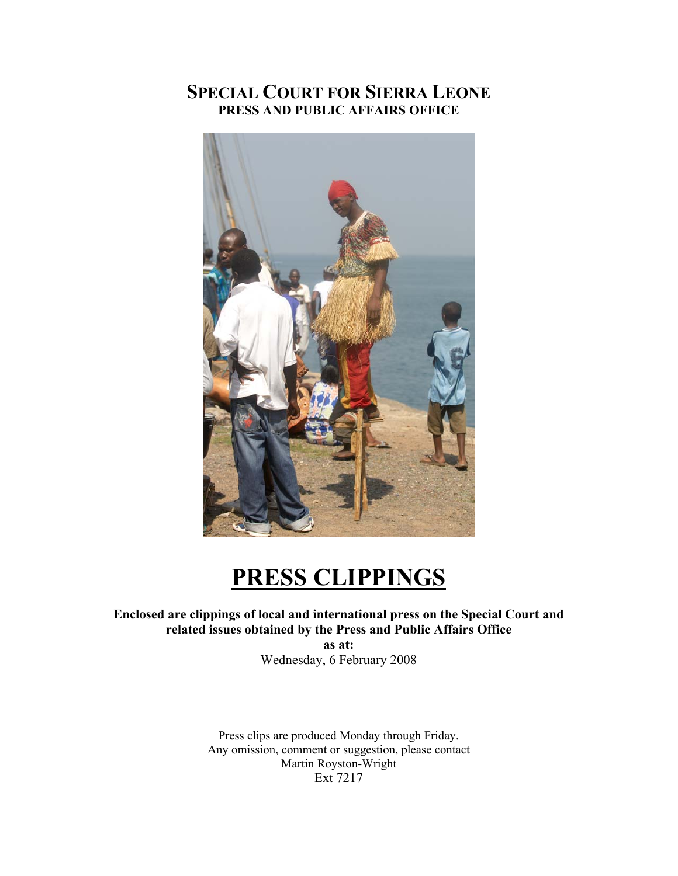# **SPECIAL COURT FOR SIERRA LEONE PRESS AND PUBLIC AFFAIRS OFFICE**



# **PRESS CLIPPINGS**

## **Enclosed are clippings of local and international press on the Special Court and related issues obtained by the Press and Public Affairs Office**

**as at:**  Wednesday, 6 February 2008

Press clips are produced Monday through Friday. Any omission, comment or suggestion, please contact Martin Royston-Wright Ext 7217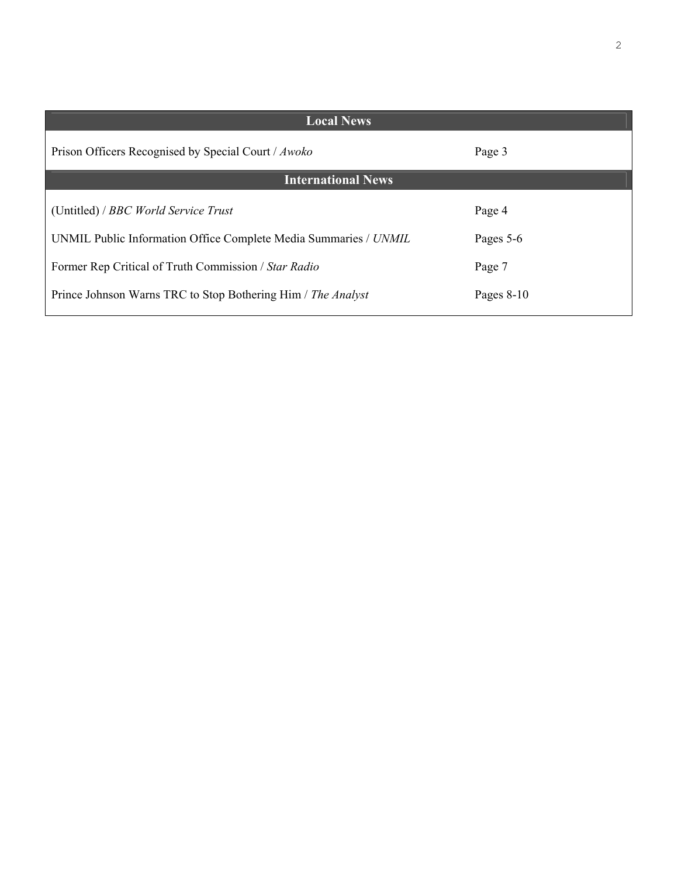| <b>Local News</b>                                                |              |
|------------------------------------------------------------------|--------------|
| Prison Officers Recognised by Special Court / Awoko              | Page 3       |
| <b>International News</b>                                        |              |
| (Untitled) / BBC World Service Trust                             | Page 4       |
| UNMIL Public Information Office Complete Media Summaries / UNMIL | Pages 5-6    |
| Former Rep Critical of Truth Commission / Star Radio             | Page 7       |
| Prince Johnson Warns TRC to Stop Bothering Him / The Analyst     | Pages $8-10$ |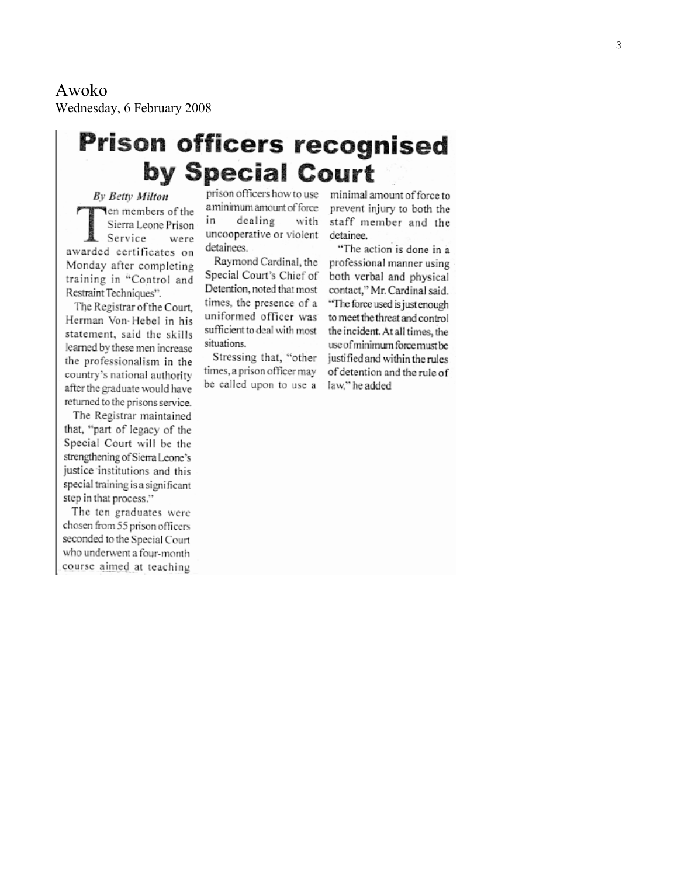Awoko Wednesday, 6 February 2008

# **Prison officers recognised** by Special Court

**By Betty Milton** Ten members of the Sierra Leone Prison Service were awarded certificates on Monday after completing training in "Control and Restraint Techniques".

The Registrar of the Court. Herman Von-Hebel in his statement, said the skills learned by these men increase the professionalism in the country's national authority after the graduate would have returned to the prisons service.

The Registrar maintained that, "part of legacy of the Special Court will be the strengthening of Sierra Leone's justice institutions and this special training is a significant step in that process."

The ten graduates were chosen from 55 prison officers seconded to the Special Court who underwent a four-month course aimed at teaching

prison officers how to use a minimum amount of force in dealing with uncooperative or violent detainees.

Raymond Cardinal, the Special Court's Chief of Detention, noted that most times, the presence of a uniformed officer was sufficient to deal with most situations.

Stressing that, "other times, a prison officer may be called upon to use a minimal amount of force to prevent injury to both the staff member and the detainee.

"The action is done in a professional manner using both verbal and physical contact," Mr. Cardinal said. "The force used is just enough to meet the threat and control the incident. At all times, the use of minimum force must be justified and within the rules of detention and the rule of law," he added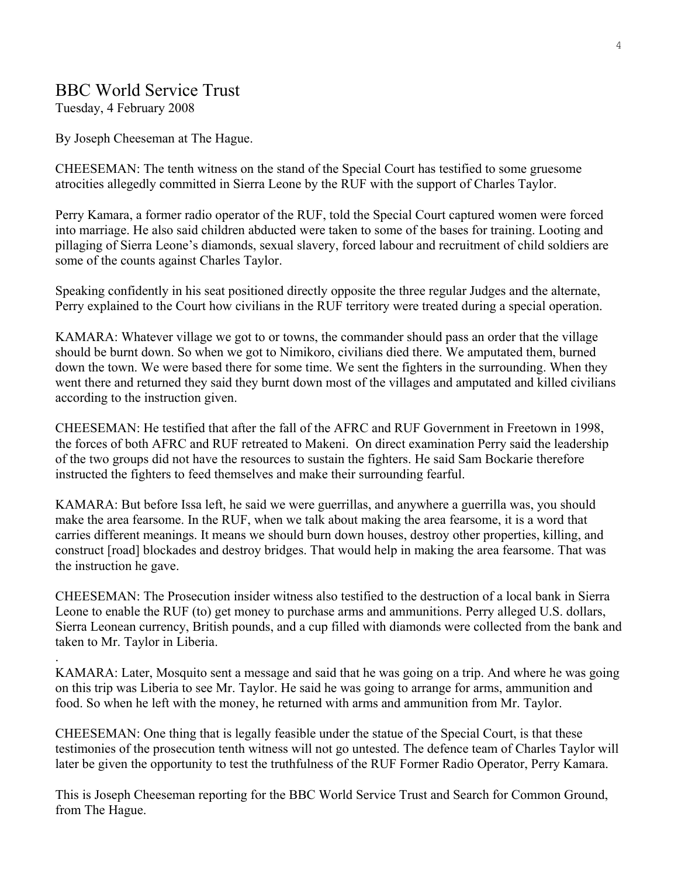## BBC World Service Trust

Tuesday, 4 February 2008

.

By Joseph Cheeseman at The Hague.

CHEESEMAN: The tenth witness on the stand of the Special Court has testified to some gruesome atrocities allegedly committed in Sierra Leone by the RUF with the support of Charles Taylor.

Perry Kamara, a former radio operator of the RUF, told the Special Court captured women were forced into marriage. He also said children abducted were taken to some of the bases for training. Looting and pillaging of Sierra Leone's diamonds, sexual slavery, forced labour and recruitment of child soldiers are some of the counts against Charles Taylor.

Speaking confidently in his seat positioned directly opposite the three regular Judges and the alternate, Perry explained to the Court how civilians in the RUF territory were treated during a special operation.

KAMARA: Whatever village we got to or towns, the commander should pass an order that the village should be burnt down. So when we got to Nimikoro, civilians died there. We amputated them, burned down the town. We were based there for some time. We sent the fighters in the surrounding. When they went there and returned they said they burnt down most of the villages and amputated and killed civilians according to the instruction given.

CHEESEMAN: He testified that after the fall of the AFRC and RUF Government in Freetown in 1998, the forces of both AFRC and RUF retreated to Makeni. On direct examination Perry said the leadership of the two groups did not have the resources to sustain the fighters. He said Sam Bockarie therefore instructed the fighters to feed themselves and make their surrounding fearful.

KAMARA: But before Issa left, he said we were guerrillas, and anywhere a guerrilla was, you should make the area fearsome. In the RUF, when we talk about making the area fearsome, it is a word that carries different meanings. It means we should burn down houses, destroy other properties, killing, and construct [road] blockades and destroy bridges. That would help in making the area fearsome. That was the instruction he gave.

CHEESEMAN: The Prosecution insider witness also testified to the destruction of a local bank in Sierra Leone to enable the RUF (to) get money to purchase arms and ammunitions. Perry alleged U.S. dollars, Sierra Leonean currency, British pounds, and a cup filled with diamonds were collected from the bank and taken to Mr. Taylor in Liberia.

KAMARA: Later, Mosquito sent a message and said that he was going on a trip. And where he was going on this trip was Liberia to see Mr. Taylor. He said he was going to arrange for arms, ammunition and food. So when he left with the money, he returned with arms and ammunition from Mr. Taylor.

CHEESEMAN: One thing that is legally feasible under the statue of the Special Court, is that these testimonies of the prosecution tenth witness will not go untested. The defence team of Charles Taylor will later be given the opportunity to test the truthfulness of the RUF Former Radio Operator, Perry Kamara.

This is Joseph Cheeseman reporting for the BBC World Service Trust and Search for Common Ground, from The Hague.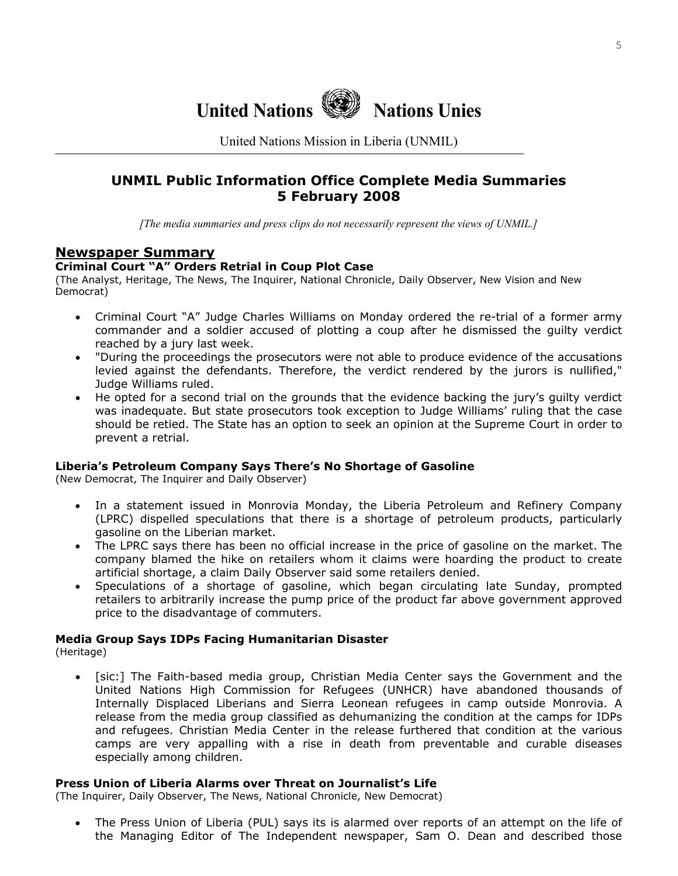

United Nations Mission in Liberia (UNMIL)

## **UNMIL Public Information Office Complete Media Summaries 5 February 2008**

*[The media summaries and press clips do not necessarily represent the views of UNMIL.]*

## **Newspaper Summary**

#### **Criminal Court "A" Orders Retrial in Coup Plot Case**

(The Analyst, Heritage, The News, The Inquirer, National Chronicle, Daily Observer, New Vision and New Democrat)

- Criminal Court "A" Judge Charles Williams on Monday ordered the re-trial of a former army commander and a soldier accused of plotting a coup after he dismissed the guilty verdict reached by a jury last week.
- "During the proceedings the prosecutors were not able to produce evidence of the accusations levied against the defendants. Therefore, the verdict rendered by the jurors is nullified," Judge Williams ruled.
- He opted for a second trial on the grounds that the evidence backing the jury's guilty verdict was inadequate. But state prosecutors took exception to Judge Williams' ruling that the case should be retied. The State has an option to seek an opinion at the Supreme Court in order to prevent a retrial.

#### **Liberia's Petroleum Company Says There's No Shortage of Gasoline**

(New Democrat, The Inquirer and Daily Observer)

- In a statement issued in Monrovia Monday, the Liberia Petroleum and Refinery Company (LPRC) dispelled speculations that there is a shortage of petroleum products, particularly gasoline on the Liberian market.
- The LPRC says there has been no official increase in the price of gasoline on the market. The company blamed the hike on retailers whom it claims were hoarding the product to create artificial shortage, a claim Daily Observer said some retailers denied.
- Speculations of a shortage of gasoline, which began circulating late Sunday, prompted retailers to arbitrarily increase the pump price of the product far above government approved price to the disadvantage of commuters.

# **Media Group Says IDPs Facing Humanitarian Disaster**

(Heritage)

• [sic:] The Faith-based media group, Christian Media Center says the Government and the United Nations High Commission for Refugees (UNHCR) have abandoned thousands of Internally Displaced Liberians and Sierra Leonean refugees in camp outside Monrovia. A release from the media group classified as dehumanizing the condition at the camps for IDPs and refugees. Christian Media Center in the release furthered that condition at the various camps are very appalling with a rise in death from preventable and curable diseases especially among children.

#### **Press Union of Liberia Alarms over Threat on Journalist's Life**

(The Inquirer, Daily Observer, The News, National Chronicle, New Democrat)

• The Press Union of Liberia (PUL) says its is alarmed over reports of an attempt on the life of the Managing Editor of The Independent newspaper, Sam O. Dean and described those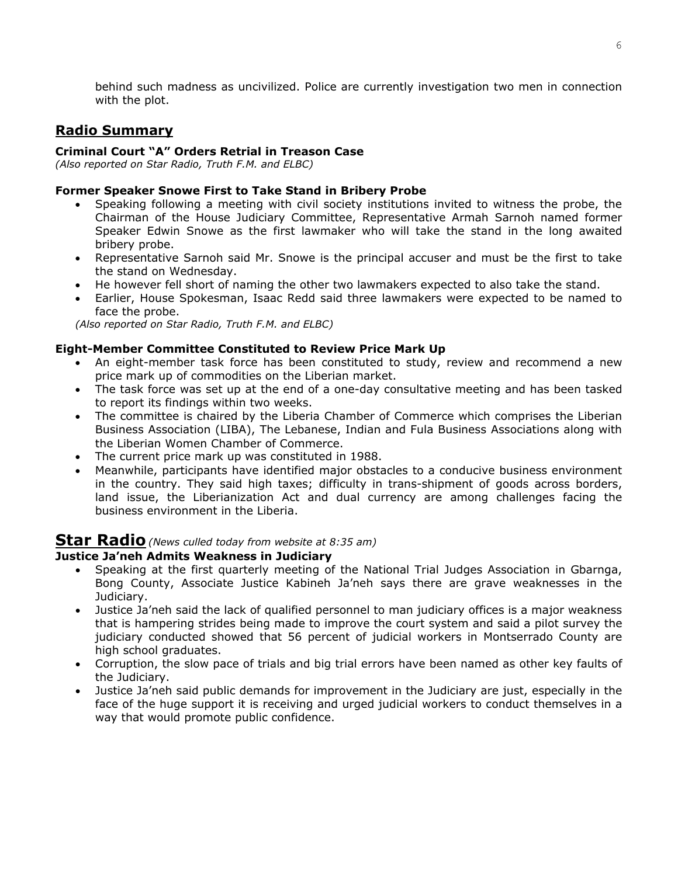behind such madness as uncivilized. Police are currently investigation two men in connection with the plot.

## **Radio Summary**

### **Criminal Court "A" Orders Retrial in Treason Case**

*(Also reported on Star Radio, Truth F.M. and ELBC)* 

### **Former Speaker Snowe First to Take Stand in Bribery Probe**

- Speaking following a meeting with civil society institutions invited to witness the probe, the Chairman of the House Judiciary Committee, Representative Armah Sarnoh named former Speaker Edwin Snowe as the first lawmaker who will take the stand in the long awaited bribery probe.
- Representative Sarnoh said Mr. Snowe is the principal accuser and must be the first to take the stand on Wednesday.
- He however fell short of naming the other two lawmakers expected to also take the stand.
- Earlier, House Spokesman, Isaac Redd said three lawmakers were expected to be named to face the probe.

*(Also reported on Star Radio, Truth F.M. and ELBC)* 

#### **Eight-Member Committee Constituted to Review Price Mark Up**

- An eight-member task force has been constituted to study, review and recommend a new price mark up of commodities on the Liberian market.
- The task force was set up at the end of a one-day consultative meeting and has been tasked to report its findings within two weeks.
- The committee is chaired by the Liberia Chamber of Commerce which comprises the Liberian Business Association (LIBA), The Lebanese, Indian and Fula Business Associations along with the Liberian Women Chamber of Commerce.
- The current price mark up was constituted in 1988.
- Meanwhile, participants have identified major obstacles to a conducive business environment in the country. They said high taxes; difficulty in trans-shipment of goods across borders, land issue, the Liberianization Act and dual currency are among challenges facing the business environment in the Liberia.

## **Star Radio***(News culled today from website at 8:35 am)*

#### **Justice Ja'neh Admits Weakness in Judiciary**

- Speaking at the first quarterly meeting of the National Trial Judges Association in Gbarnga, Bong County, Associate Justice Kabineh Ja'neh says there are grave weaknesses in the Judiciary.
- Justice Ja'neh said the lack of qualified personnel to man judiciary offices is a major weakness that is hampering strides being made to improve the court system and said a pilot survey the judiciary conducted showed that 56 percent of judicial workers in Montserrado County are high school graduates.
- Corruption, the slow pace of trials and big trial errors have been named as other key faults of the Judiciary.
- Justice Ja'neh said public demands for improvement in the Judiciary are just, especially in the face of the huge support it is receiving and urged judicial workers to conduct themselves in a way that would promote public confidence.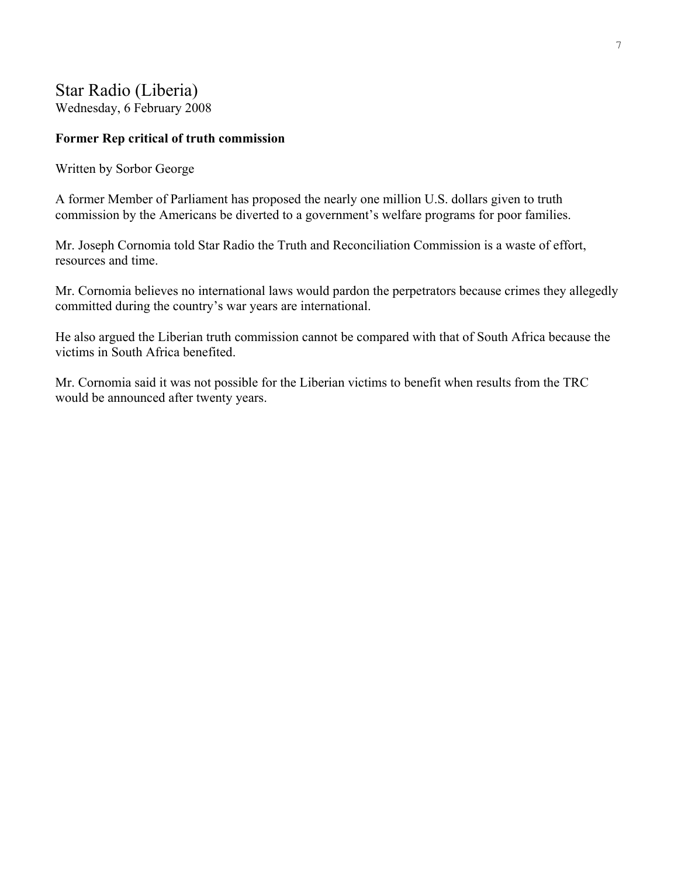## Star Radio (Liberia) Wednesday, 6 February 2008

## **Former Rep critical of truth commission**

Written by Sorbor George

A former Member of Parliament has proposed the nearly one million U.S. dollars given to truth commission by the Americans be diverted to a government's welfare programs for poor families.

Mr. Joseph Cornomia told Star Radio the Truth and Reconciliation Commission is a waste of effort, resources and time.

Mr. Cornomia believes no international laws would pardon the perpetrators because crimes they allegedly committed during the country's war years are international.

He also argued the Liberian truth commission cannot be compared with that of South Africa because the victims in South Africa benefited.

Mr. Cornomia said it was not possible for the Liberian victims to benefit when results from the TRC would be announced after twenty years.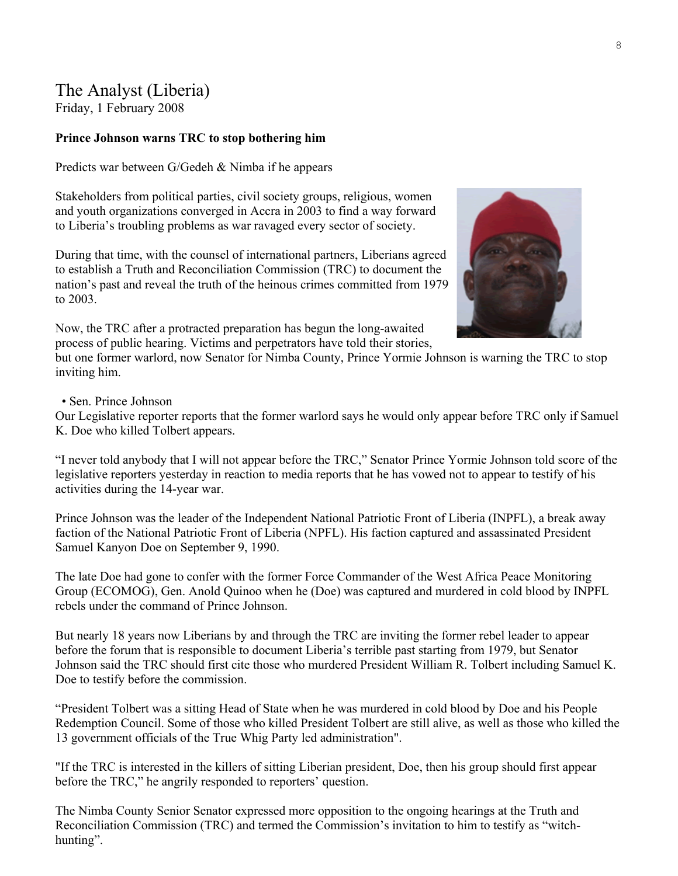## The Analyst (Liberia)

Friday, 1 February 2008

## **Prince Johnson warns TRC to stop bothering him**

Predicts war between G/Gedeh & Nimba if he appears

Stakeholders from political parties, civil society groups, religious, women and youth organizations converged in Accra in 2003 to find a way forward to Liberia's troubling problems as war ravaged every sector of society.

During that time, with the counsel of international partners, Liberians agreed to establish a Truth and Reconciliation Commission (TRC) to document the nation's past and reveal the truth of the heinous crimes committed from 1979 to 2003.

Now, the TRC after a protracted preparation has begun the long-awaited process of public hearing. Victims and perpetrators have told their stories,

but one former warlord, now Senator for Nimba County, Prince Yormie Johnson is warning the TRC to stop inviting him.

• Sen. Prince Johnson

Our Legislative reporter reports that the former warlord says he would only appear before TRC only if Samuel K. Doe who killed Tolbert appears.

"I never told anybody that I will not appear before the TRC," Senator Prince Yormie Johnson told score of the legislative reporters yesterday in reaction to media reports that he has vowed not to appear to testify of his activities during the 14-year war.

Prince Johnson was the leader of the Independent National Patriotic Front of Liberia (INPFL), a break away faction of the National Patriotic Front of Liberia (NPFL). His faction captured and assassinated President Samuel Kanyon Doe on September 9, 1990.

The late Doe had gone to confer with the former Force Commander of the West Africa Peace Monitoring Group (ECOMOG), Gen. Anold Quinoo when he (Doe) was captured and murdered in cold blood by INPFL rebels under the command of Prince Johnson.

But nearly 18 years now Liberians by and through the TRC are inviting the former rebel leader to appear before the forum that is responsible to document Liberia's terrible past starting from 1979, but Senator Johnson said the TRC should first cite those who murdered President William R. Tolbert including Samuel K. Doe to testify before the commission.

"President Tolbert was a sitting Head of State when he was murdered in cold blood by Doe and his People Redemption Council. Some of those who killed President Tolbert are still alive, as well as those who killed the 13 government officials of the True Whig Party led administration".

"If the TRC is interested in the killers of sitting Liberian president, Doe, then his group should first appear before the TRC," he angrily responded to reporters' question.

The Nimba County Senior Senator expressed more opposition to the ongoing hearings at the Truth and Reconciliation Commission (TRC) and termed the Commission's invitation to him to testify as "witchhunting".

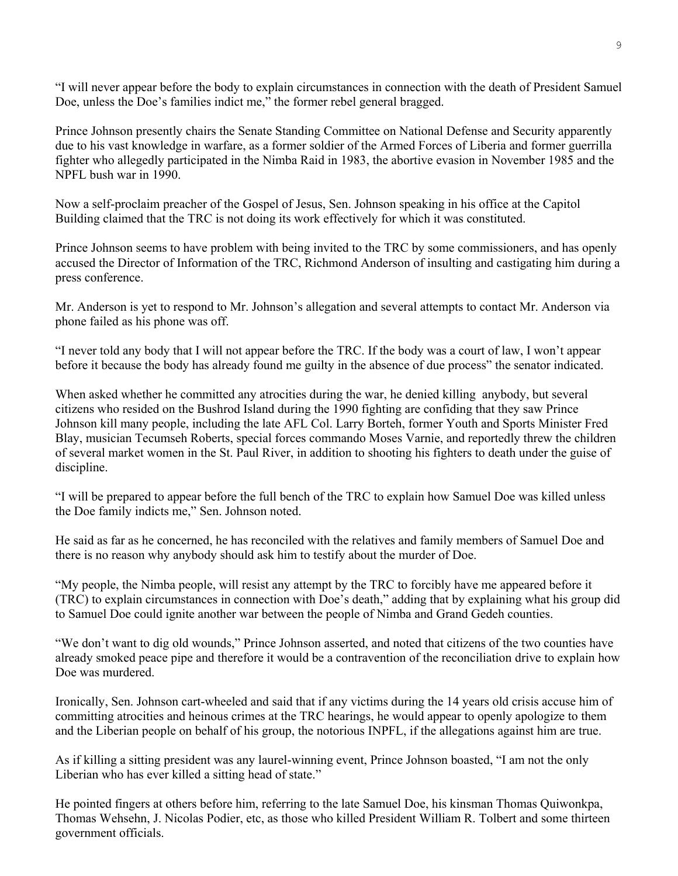"I will never appear before the body to explain circumstances in connection with the death of President Samuel Doe, unless the Doe's families indict me," the former rebel general bragged.

Prince Johnson presently chairs the Senate Standing Committee on National Defense and Security apparently due to his vast knowledge in warfare, as a former soldier of the Armed Forces of Liberia and former guerrilla fighter who allegedly participated in the Nimba Raid in 1983, the abortive evasion in November 1985 and the NPFL bush war in 1990.

Now a self-proclaim preacher of the Gospel of Jesus, Sen. Johnson speaking in his office at the Capitol Building claimed that the TRC is not doing its work effectively for which it was constituted.

Prince Johnson seems to have problem with being invited to the TRC by some commissioners, and has openly accused the Director of Information of the TRC, Richmond Anderson of insulting and castigating him during a press conference.

Mr. Anderson is yet to respond to Mr. Johnson's allegation and several attempts to contact Mr. Anderson via phone failed as his phone was off.

"I never told any body that I will not appear before the TRC. If the body was a court of law, I won't appear before it because the body has already found me guilty in the absence of due process" the senator indicated.

When asked whether he committed any atrocities during the war, he denied killing anybody, but several citizens who resided on the Bushrod Island during the 1990 fighting are confiding that they saw Prince Johnson kill many people, including the late AFL Col. Larry Borteh, former Youth and Sports Minister Fred Blay, musician Tecumseh Roberts, special forces commando Moses Varnie, and reportedly threw the children of several market women in the St. Paul River, in addition to shooting his fighters to death under the guise of discipline.

"I will be prepared to appear before the full bench of the TRC to explain how Samuel Doe was killed unless the Doe family indicts me," Sen. Johnson noted.

He said as far as he concerned, he has reconciled with the relatives and family members of Samuel Doe and there is no reason why anybody should ask him to testify about the murder of Doe.

"My people, the Nimba people, will resist any attempt by the TRC to forcibly have me appeared before it (TRC) to explain circumstances in connection with Doe's death," adding that by explaining what his group did to Samuel Doe could ignite another war between the people of Nimba and Grand Gedeh counties.

"We don't want to dig old wounds," Prince Johnson asserted, and noted that citizens of the two counties have already smoked peace pipe and therefore it would be a contravention of the reconciliation drive to explain how Doe was murdered.

Ironically, Sen. Johnson cart-wheeled and said that if any victims during the 14 years old crisis accuse him of committing atrocities and heinous crimes at the TRC hearings, he would appear to openly apologize to them and the Liberian people on behalf of his group, the notorious INPFL, if the allegations against him are true.

As if killing a sitting president was any laurel-winning event, Prince Johnson boasted, "I am not the only Liberian who has ever killed a sitting head of state."

He pointed fingers at others before him, referring to the late Samuel Doe, his kinsman Thomas Quiwonkpa, Thomas Wehsehn, J. Nicolas Podier, etc, as those who killed President William R. Tolbert and some thirteen government officials.